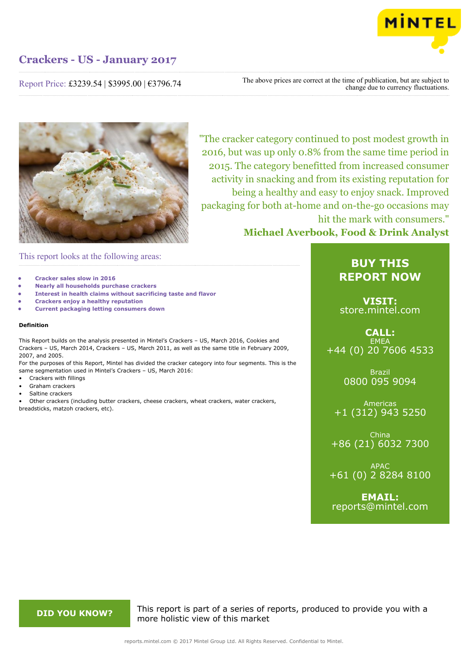

Report Price: £3239.54 | \$3995.00 | €3796.74

The above prices are correct at the time of publication, but are subject to change due to currency fluctuations.



"The cracker category continued to post modest growth in 2016, but was up only 0.8% from the same time period in 2015. The category benefitted from increased consumer activity in snacking and from its existing reputation for being a healthy and easy to enjoy snack. Improved packaging for both at-home and on-the-go occasions may hit the mark with consumers." **Michael Averbook, Food & Drink Analyst**

## This report looks at the following areas:

- **• Cracker sales slow in 2016**
- **• Nearly all households purchase crackers**
- **• Interest in health claims without sacrificing taste and flavor**
- **• Crackers enjoy a healthy reputation**
- **• Current packaging letting consumers down**

#### **Definition**

This Report builds on the analysis presented in Mintel's Crackers – US, March 2016, Cookies and Crackers – US, March 2014, Crackers – US, March 2011, as well as the same title in February 2009, 2007, and 2005.

For the purposes of this Report, Mintel has divided the cracker category into four segments. This is the same segmentation used in Mintel's Crackers – US, March 2016:

- Crackers with fillings
- Graham crackers
- Saltine crackers

• Other crackers (including butter crackers, cheese crackers, wheat crackers, water crackers, breadsticks, matzoh crackers, etc).

## **BUY THIS REPORT NOW**

**VISIT:** [store.mintel.com](http://reports.mintel.com//display/store/793101/)

### **CALL: EMEA** +44 (0) 20 7606 4533

Brazil 0800 095 9094

Americas +1 (312) 943 5250

China +86 (21) 6032 7300

APAC +61 (0) 2 8284 8100

**EMAIL:** [reports@mintel.com](mailto:reports@mintel.com)

**DID YOU KNOW?** This report is part of a series of reports, produced to provide you with a more holistic view of this market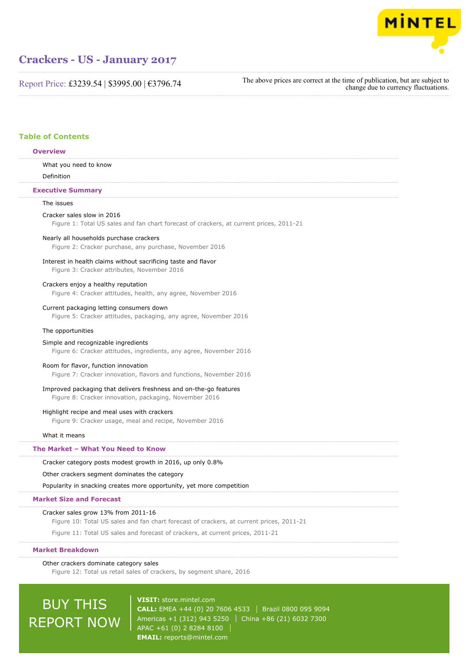

Report Price: £3239.54 | \$3995.00 | €3796.74

The above prices are correct at the time of publication, but are subject to change due to currency fluctuations.

### **Table of Contents**

#### **Overview**

What you need to know

Definition

#### **Executive Summary**

#### The issues

#### Cracker sales slow in 2016

Figure 1: Total US sales and fan chart forecast of crackers, at current prices, 2011-21

#### Nearly all households purchase crackers

Figure 2: Cracker purchase, any purchase, November 2016

#### Interest in health claims without sacrificing taste and flavor

Figure 3: Cracker attributes, November 2016

#### Crackers enjoy a healthy reputation

Figure 4: Cracker attitudes, health, any agree, November 2016

#### Current packaging letting consumers down

Figure 5: Cracker attitudes, packaging, any agree, November 2016

#### The opportunities

#### Simple and recognizable ingredients

Figure 6: Cracker attitudes, ingredients, any agree, November 2016

#### Room for flavor, function innovation

Figure 7: Cracker innovation, flavors and functions, November 2016

#### Improved packaging that delivers freshness and on-the-go features

Figure 8: Cracker innovation, packaging, November 2016

#### Highlight recipe and meal uses with crackers

Figure 9: Cracker usage, meal and recipe, November 2016

#### What it means

#### **The Market – What You Need to Know**

#### Cracker category posts modest growth in 2016, up only 0.8%

Other crackers segment dominates the category

Popularity in snacking creates more opportunity, yet more competition

#### **Market Size and Forecast**

#### Cracker sales grow 13% from 2011-16

Figure 10: Total US sales and fan chart forecast of crackers, at current prices, 2011-21

Figure 11: Total US sales and forecast of crackers, at current prices, 2011-21

#### **Market Breakdown**

## Other crackers dominate category sales

Figure 12: Total us retail sales of crackers, by segment share, 2016

# BUY THIS REPORT NOW

**VISIT:** [store.mintel.com](http://reports.mintel.com//display/store/793101/) **CALL:** EMEA +44 (0) 20 7606 4533 Brazil 0800 095 9094 Americas +1 (312) 943 5250 | China +86 (21) 6032 7300 APAC +61 (0) 2 8284 8100 **EMAIL:** [reports@mintel.com](mailto:reports@mintel.com)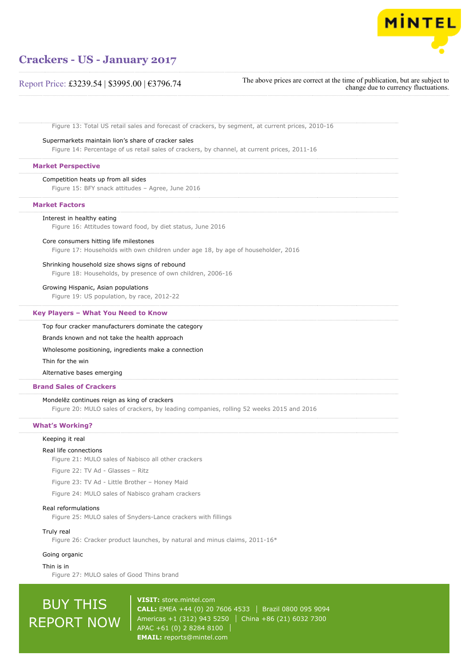

### Report Price: £3239.54 | \$3995.00 | €3796.74

The above prices are correct at the time of publication, but are subject to change due to currency fluctuations.

Figure 13: Total US retail sales and forecast of crackers, by segment, at current prices, 2010-16

#### Supermarkets maintain lion's share of cracker sales

Figure 14: Percentage of us retail sales of crackers, by channel, at current prices, 2011-16

#### **Market Perspective**

#### Competition heats up from all sides

Figure 15: BFY snack attitudes – Agree, June 2016

#### **Market Factors**

#### Interest in healthy eating

Figure 16: Attitudes toward food, by diet status, June 2016

#### Core consumers hitting life milestones

Figure 17: Households with own children under age 18, by age of householder, 2016

#### Shrinking household size shows signs of rebound

Figure 18: Households, by presence of own children, 2006-16

#### Growing Hispanic, Asian populations

Figure 19: US population, by race, 2012-22

#### **Key Players – What You Need to Know**

Top four cracker manufacturers dominate the category

#### Brands known and not take the health approach

Wholesome positioning, ingredients make a connection

#### Thin for the win

Alternative bases emerging

#### **Brand Sales of Crackers**

#### Mondelēz continues reign as king of crackers

Figure 20: MULO sales of crackers, by leading companies, rolling 52 weeks 2015 and 2016

#### **What's Working?**

#### Keeping it real

#### Real life connections

Figure 21: MULO sales of Nabisco all other crackers

Figure 22: TV Ad - Glasses – Ritz

Figure 23: TV Ad - Little Brother – Honey Maid

Figure 24: MULO sales of Nabisco graham crackers

#### Real reformulations

Figure 25: MULO sales of Snyders-Lance crackers with fillings

#### Truly real

Figure 26: Cracker product launches, by natural and minus claims, 2011-16\*

#### Going organic

Thin is in

Figure 27: MULO sales of Good Thins brand

# BUY THIS REPORT NOW

**VISIT:** [store.mintel.com](http://reports.mintel.com//display/store/793101/) **CALL:** EMEA +44 (0) 20 7606 4533 | Brazil 0800 095 9094 Americas +1 (312) 943 5250 | China +86 (21) 6032 7300 APAC +61 (0) 2 8284 8100 **EMAIL:** [reports@mintel.com](mailto:reports@mintel.com)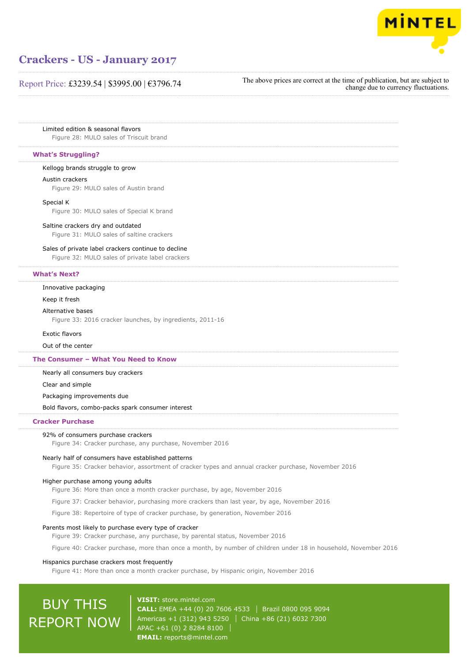

### Report Price: £3239.54 | \$3995.00 | €3796.74

The above prices are correct at the time of publication, but are subject to change due to currency fluctuations.

Limited edition & seasonal flavors

Figure 28: MULO sales of Triscuit brand

#### **What's Struggling?**

#### Kellogg brands struggle to grow

#### Austin crackers

Figure 29: MULO sales of Austin brand

#### Special K

Figure 30: MULO sales of Special K brand

#### Saltine crackers dry and outdated

Figure 31: MULO sales of saltine crackers

#### Sales of private label crackers continue to decline

Figure 32: MULO sales of private label crackers

#### **What's Next?**

#### Innovative packaging

Keep it fresh

#### Alternative bases

Figure 33: 2016 cracker launches, by ingredients, 2011-16

#### Exotic flavors

Out of the center

#### **The Consumer – What You Need to Know**

Nearly all consumers buy crackers

Clear and simple

#### Packaging improvements due

Bold flavors, combo-packs spark consumer interest

#### **Cracker Purchase**

#### 92% of consumers purchase crackers

Figure 34: Cracker purchase, any purchase, November 2016

#### Nearly half of consumers have established patterns

Figure 35: Cracker behavior, assortment of cracker types and annual cracker purchase, November 2016

#### Higher purchase among young adults

Figure 36: More than once a month cracker purchase, by age, November 2016

Figure 37: Cracker behavior, purchasing more crackers than last year, by age, November 2016

Figure 38: Repertoire of type of cracker purchase, by generation, November 2016

#### Parents most likely to purchase every type of cracker

Figure 39: Cracker purchase, any purchase, by parental status, November 2016

Figure 40: Cracker purchase, more than once a month, by number of children under 18 in household, November 2016

#### Hispanics purchase crackers most frequently

Figure 41: More than once a month cracker purchase, by Hispanic origin, November 2016

# BUY THIS REPORT NOW

**VISIT:** [store.mintel.com](http://reports.mintel.com//display/store/793101/) **CALL:** EMEA +44 (0) 20 7606 4533 | Brazil 0800 095 9094 Americas +1 (312) 943 5250 | China +86 (21) 6032 7300 APAC +61 (0) 2 8284 8100 **EMAIL:** [reports@mintel.com](mailto:reports@mintel.com)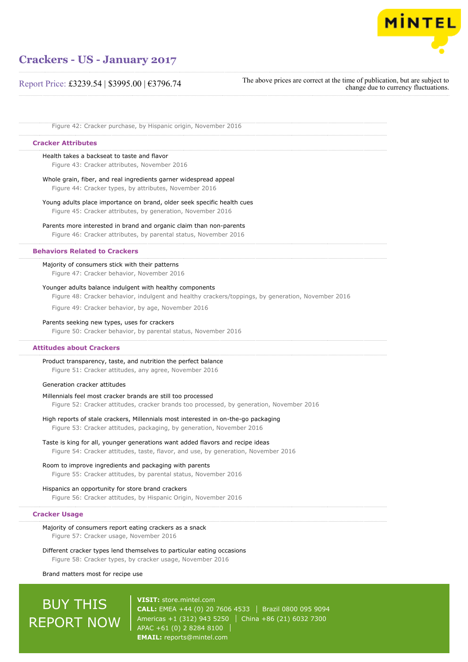

### Report Price: £3239.54 | \$3995.00 | €3796.74

The above prices are correct at the time of publication, but are subject to change due to currency fluctuations.

Figure 42: Cracker purchase, by Hispanic origin, November 2016

#### **Cracker Attributes**

#### Health takes a backseat to taste and flavor

Figure 43: Cracker attributes, November 2016

## Whole grain, fiber, and real ingredients garner widespread appeal

Figure 44: Cracker types, by attributes, November 2016

## Young adults place importance on brand, older seek specific health cues

Figure 45: Cracker attributes, by generation, November 2016

#### Parents more interested in brand and organic claim than non-parents

Figure 46: Cracker attributes, by parental status, November 2016

#### **Behaviors Related to Crackers**

#### Majority of consumers stick with their patterns

Figure 47: Cracker behavior, November 2016

#### Younger adults balance indulgent with healthy components

Figure 48: Cracker behavior, indulgent and healthy crackers/toppings, by generation, November 2016

Figure 49: Cracker behavior, by age, November 2016

#### Parents seeking new types, uses for crackers

Figure 50: Cracker behavior, by parental status, November 2016

#### **Attitudes about Crackers**

#### Product transparency, taste, and nutrition the perfect balance

Figure 51: Cracker attitudes, any agree, November 2016

#### Generation cracker attitudes

#### Millennials feel most cracker brands are still too processed Figure 52: Cracker attitudes, cracker brands too processed, by generation, November 2016

#### High reports of stale crackers, Millennials most interested in on-the-go packaging

Figure 53: Cracker attitudes, packaging, by generation, November 2016

#### Taste is king for all, younger generations want added flavors and recipe ideas Figure 54: Cracker attitudes, taste, flavor, and use, by generation, November 2016

### Room to improve ingredients and packaging with parents

Figure 55: Cracker attitudes, by parental status, November 2016

#### Hispanics an opportunity for store brand crackers

Figure 56: Cracker attitudes, by Hispanic Origin, November 2016

#### **Cracker Usage**

#### Majority of consumers report eating crackers as a snack Figure 57: Cracker usage, November 2016

Different cracker types lend themselves to particular eating occasions Figure 58: Cracker types, by cracker usage, November 2016

#### Brand matters most for recipe use

# BUY THIS REPORT NOW

**VISIT:** [store.mintel.com](http://reports.mintel.com//display/store/793101/) **CALL:** EMEA +44 (0) 20 7606 4533 Brazil 0800 095 9094 Americas +1 (312) 943 5250 | China +86 (21) 6032 7300 APAC +61 (0) 2 8284 8100 **EMAIL:** [reports@mintel.com](mailto:reports@mintel.com)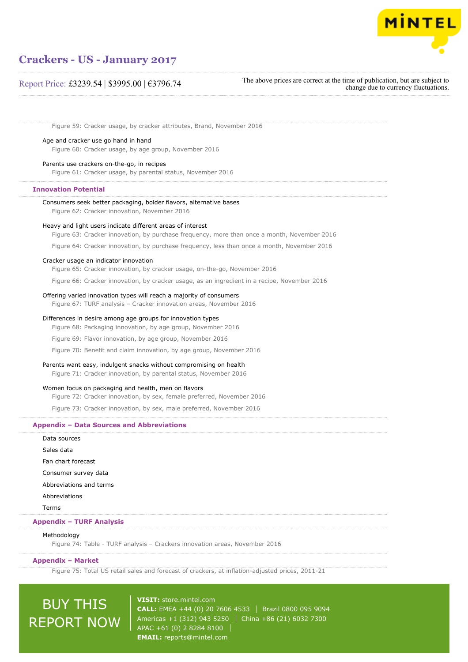

### Report Price: £3239.54 | \$3995.00 | €3796.74

The above prices are correct at the time of publication, but are subject to change due to currency fluctuations.

Figure 59: Cracker usage, by cracker attributes, Brand, November 2016

Age and cracker use go hand in hand

Figure 60: Cracker usage, by age group, November 2016

Parents use crackers on-the-go, in recipes Figure 61: Cracker usage, by parental status, November 2016

#### **Innovation Potential**

Consumers seek better packaging, bolder flavors, alternative bases

Figure 62: Cracker innovation, November 2016

#### Heavy and light users indicate different areas of interest

Figure 63: Cracker innovation, by purchase frequency, more than once a month, November 2016

Figure 64: Cracker innovation, by purchase frequency, less than once a month, November 2016

#### Cracker usage an indicator innovation

Figure 65: Cracker innovation, by cracker usage, on-the-go, November 2016

Figure 66: Cracker innovation, by cracker usage, as an ingredient in a recipe, November 2016

#### Offering varied innovation types will reach a majority of consumers

Figure 67: TURF analysis – Cracker innovation areas, November 2016

#### Differences in desire among age groups for innovation types

Figure 68: Packaging innovation, by age group, November 2016

Figure 69: Flavor innovation, by age group, November 2016

Figure 70: Benefit and claim innovation, by age group, November 2016

#### Parents want easy, indulgent snacks without compromising on health

Figure 71: Cracker innovation, by parental status, November 2016

#### Women focus on packaging and health, men on flavors

Figure 72: Cracker innovation, by sex, female preferred, November 2016

Figure 73: Cracker innovation, by sex, male preferred, November 2016

#### **Appendix – Data Sources and Abbreviations**

Data sources Sales data Fan chart forecast Consumer survey data Abbreviations and terms Abbreviations Terms

#### **Appendix – TURF Analysis**

#### Methodology

Figure 74: Table - TURF analysis – Crackers innovation areas, November 2016

#### **Appendix – Market**

Figure 75: Total US retail sales and forecast of crackers, at inflation-adjusted prices, 2011-21

# BUY THIS REPORT NOW

**VISIT:** [store.mintel.com](http://reports.mintel.com//display/store/793101/) **CALL:** EMEA +44 (0) 20 7606 4533 | Brazil 0800 095 9094 Americas +1 (312) 943 5250 | China +86 (21) 6032 7300 APAC +61 (0) 2 8284 8100 **EMAIL:** [reports@mintel.com](mailto:reports@mintel.com)